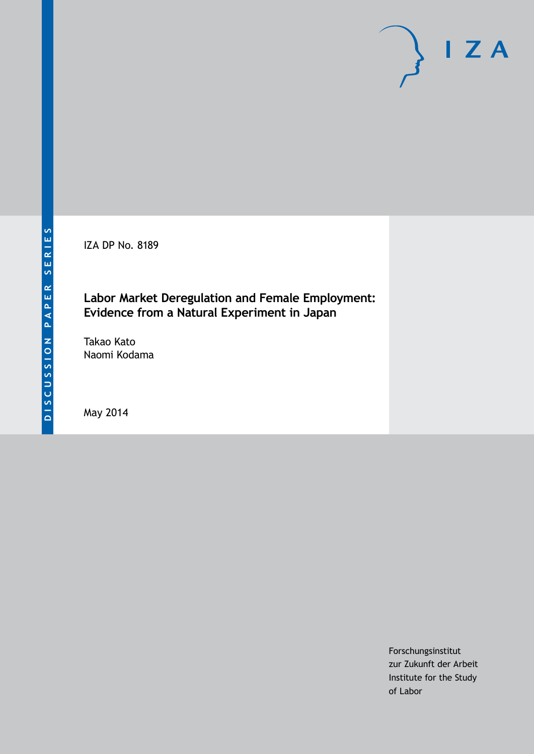IZA DP No. 8189

# **Labor Market Deregulation and Female Employment: Evidence from a Natural Experiment in Japan**

Takao Kato Naomi Kodama

May 2014

Forschungsinstitut zur Zukunft der Arbeit Institute for the Study of Labor

 $I Z A$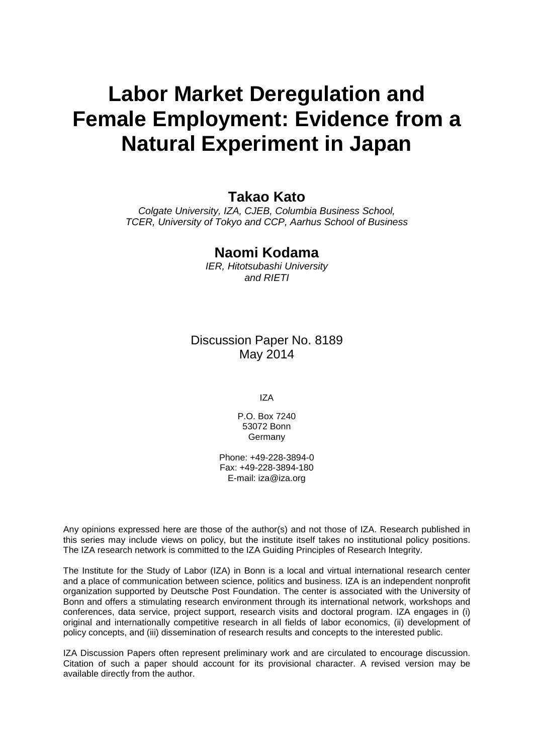# **Labor Market Deregulation and Female Employment: Evidence from a Natural Experiment in Japan**

# **Takao Kato**

*Colgate University, IZA, CJEB, Columbia Business School, TCER, University of Tokyo and CCP, Aarhus School of Business*

## **Naomi Kodama**

*IER, Hitotsubashi University and RIETI*

## Discussion Paper No. 8189 May 2014

IZA

P.O. Box 7240 53072 Bonn Germany

Phone: +49-228-3894-0 Fax: +49-228-3894-180 E-mail: [iza@iza.org](mailto:iza@iza.org)

Any opinions expressed here are those of the author(s) and not those of IZA. Research published in this series may include views on policy, but the institute itself takes no institutional policy positions. The IZA research network is committed to the IZA Guiding Principles of Research Integrity.

The Institute for the Study of Labor (IZA) in Bonn is a local and virtual international research center and a place of communication between science, politics and business. IZA is an independent nonprofit organization supported by Deutsche Post Foundation. The center is associated with the University of Bonn and offers a stimulating research environment through its international network, workshops and conferences, data service, project support, research visits and doctoral program. IZA engages in (i) original and internationally competitive research in all fields of labor economics, (ii) development of policy concepts, and (iii) dissemination of research results and concepts to the interested public.

<span id="page-1-0"></span>IZA Discussion Papers often represent preliminary work and are circulated to encourage discussion. Citation of such a paper should account for its provisional character. A revised version may be available directly from the author.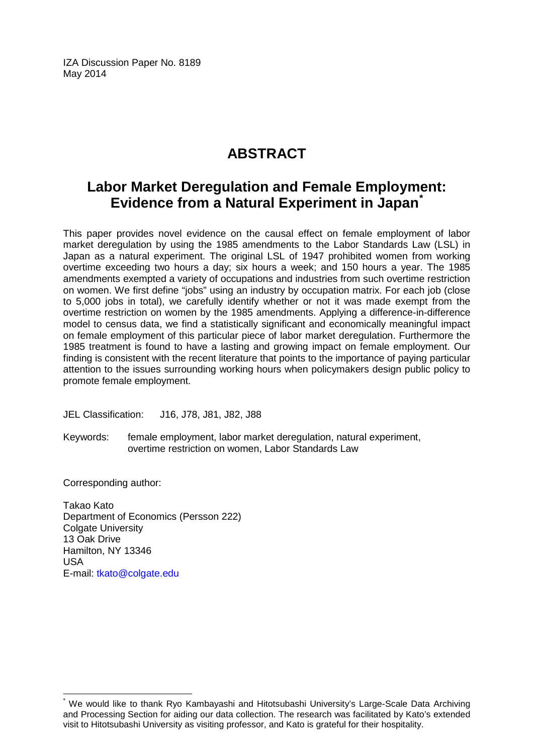IZA Discussion Paper No. 8189 May 2014

# **ABSTRACT**

# **Labor Market Deregulation and Female Employment: Evidence from a Natural Experiment in Japan[\\*](#page-1-0)**

This paper provides novel evidence on the causal effect on female employment of labor market deregulation by using the 1985 amendments to the Labor Standards Law (LSL) in Japan as a natural experiment. The original LSL of 1947 prohibited women from working overtime exceeding two hours a day; six hours a week; and 150 hours a year. The 1985 amendments exempted a variety of occupations and industries from such overtime restriction on women. We first define "jobs" using an industry by occupation matrix. For each job (close to 5,000 jobs in total), we carefully identify whether or not it was made exempt from the overtime restriction on women by the 1985 amendments. Applying a difference-in-difference model to census data, we find a statistically significant and economically meaningful impact on female employment of this particular piece of labor market deregulation. Furthermore the 1985 treatment is found to have a lasting and growing impact on female employment. Our finding is consistent with the recent literature that points to the importance of paying particular attention to the issues surrounding working hours when policymakers design public policy to promote female employment.

JEL Classification: J16, J78, J81, J82, J88

Keywords: female employment, labor market deregulation, natural experiment, overtime restriction on women, Labor Standards Law

Corresponding author:

Takao Kato Department of Economics (Persson 222) Colgate University 13 Oak Drive Hamilton, NY 13346 USA E-mail: [tkato@colgate.edu](mailto:tkato@colgate.edu)

We would like to thank Ryo Kambayashi and Hitotsubashi University's Large-Scale Data Archiving and Processing Section for aiding our data collection. The research was facilitated by Kato's extended visit to Hitotsubashi University as visiting professor, and Kato is grateful for their hospitality.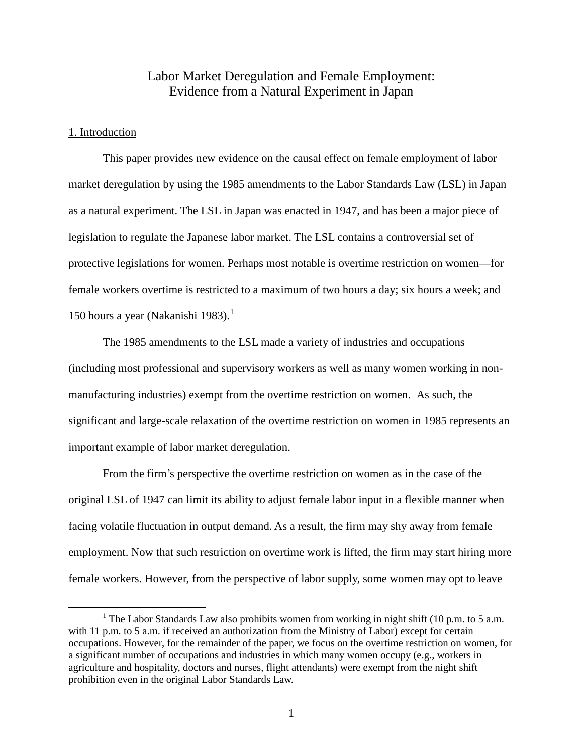## Labor Market Deregulation and Female Employment: Evidence from a Natural Experiment in Japan

#### 1. Introduction

This paper provides new evidence on the causal effect on female employment of labor market deregulation by using the 1985 amendments to the Labor Standards Law (LSL) in Japan as a natural experiment. The LSL in Japan was enacted in 1947, and has been a major piece of legislation to regulate the Japanese labor market. The LSL contains a controversial set of protective legislations for women. Perhaps most notable is overtime restriction on women—for female workers overtime is restricted to a maximum of two hours a day; six hours a week; and [1](#page-3-0)50 hours a year (Nakanishi 1983). $<sup>1</sup>$ </sup>

The 1985 amendments to the LSL made a variety of industries and occupations (including most professional and supervisory workers as well as many women working in nonmanufacturing industries) exempt from the overtime restriction on women. As such, the significant and large-scale relaxation of the overtime restriction on women in 1985 represents an important example of labor market deregulation.

From the firm's perspective the overtime restriction on women as in the case of the original LSL of 1947 can limit its ability to adjust female labor input in a flexible manner when facing volatile fluctuation in output demand. As a result, the firm may shy away from female employment. Now that such restriction on overtime work is lifted, the firm may start hiring more female workers. However, from the perspective of labor supply, some women may opt to leave

<span id="page-3-0"></span><sup>&</sup>lt;sup>1</sup> The Labor Standards Law also prohibits women from working in night shift (10 p.m. to 5 a.m. with 11 p.m. to 5 a.m. if received an authorization from the Ministry of Labor) except for certain occupations. However, for the remainder of the paper, we focus on the overtime restriction on women, for a significant number of occupations and industries in which many women occupy (e.g., workers in agriculture and hospitality, doctors and nurses, flight attendants) were exempt from the night shift prohibition even in the original Labor Standards Law.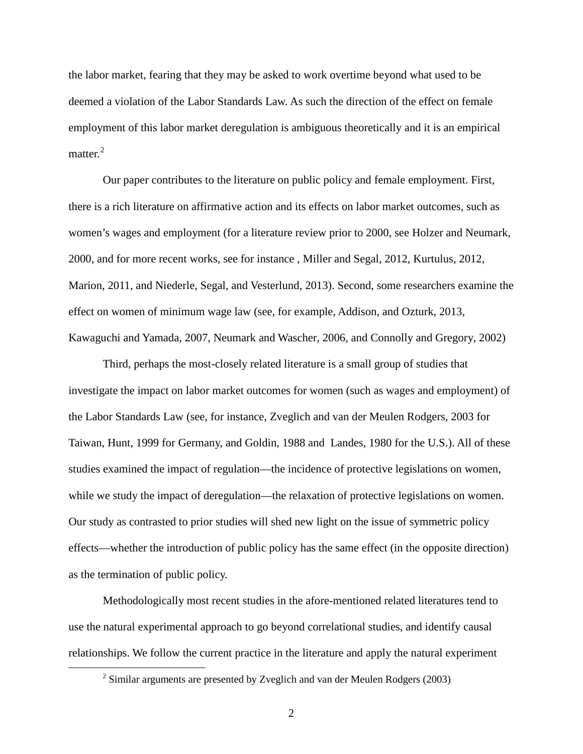the labor market, fearing that they may be asked to work overtime beyond what used to be deemed a violation of the Labor Standards Law. As such the direction of the effect on female employment of this labor market deregulation is ambiguous theoretically and it is an empirical matter. $2$ 

Our paper contributes to the literature on public policy and female employment. First, there is a rich literature on affirmative action and its effects on labor market outcomes, such as women's wages and employment (for a literature review prior to 2000, see Holzer and Neumark, 2000, and for more recent works, see for instance , Miller and Segal, 2012, Kurtulus, 2012, Marion, 2011, and Niederle, Segal, and Vesterlund, 2013). Second, some researchers examine the effect on women of minimum wage law (see, for example, Addison, and Ozturk, 2013, Kawaguchi and Yamada, 2007, Neumark and Wascher, 2006, and Connolly and Gregory, 2002)

Third, perhaps the most-closely related literature is a small group of studies that investigate the impact on labor market outcomes for women (such as wages and employment) of the Labor Standards Law (see, for instance, Zveglich and van der Meulen Rodgers, 2003 for Taiwan, Hunt, 1999 for Germany, and Goldin, 1988 and Landes, 1980 for the U.S.). All of these studies examined the impact of regulation—the incidence of protective legislations on women, while we study the impact of deregulation—the relaxation of protective legislations on women. Our study as contrasted to prior studies will shed new light on the issue of symmetric policy effects—whether the introduction of public policy has the same effect (in the opposite direction) as the termination of public policy.

Methodologically most recent studies in the afore-mentioned related literatures tend to use the natural experimental approach to go beyond correlational studies, and identify causal relationships. We follow the current practice in the literature and apply the natural experiment

<span id="page-4-0"></span> $2 \text{ Similar arguments are presented by Zveglich and van der Meulen Rodgers (2003).}$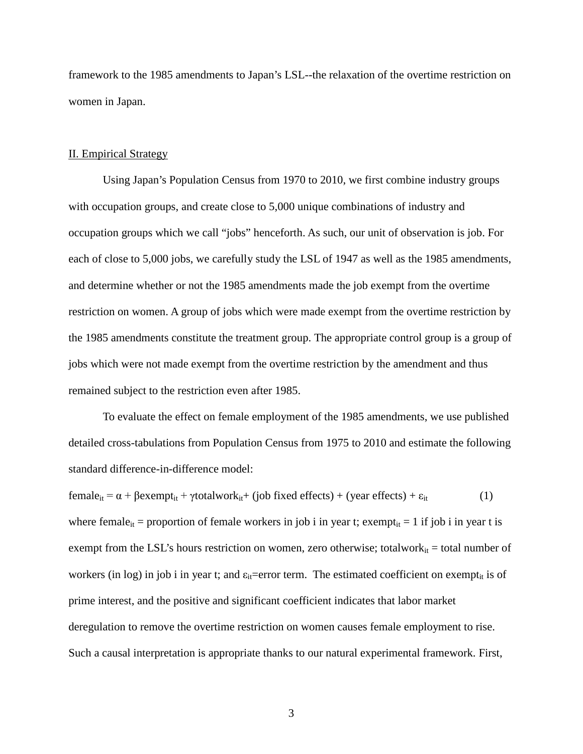framework to the 1985 amendments to Japan's LSL--the relaxation of the overtime restriction on women in Japan.

#### II. Empirical Strategy

Using Japan's Population Census from 1970 to 2010, we first combine industry groups with occupation groups, and create close to 5,000 unique combinations of industry and occupation groups which we call "jobs" henceforth. As such, our unit of observation is job. For each of close to 5,000 jobs, we carefully study the LSL of 1947 as well as the 1985 amendments, and determine whether or not the 1985 amendments made the job exempt from the overtime restriction on women. A group of jobs which were made exempt from the overtime restriction by the 1985 amendments constitute the treatment group. The appropriate control group is a group of jobs which were not made exempt from the overtime restriction by the amendment and thus remained subject to the restriction even after 1985.

To evaluate the effect on female employment of the 1985 amendments, we use published detailed cross-tabulations from Population Census from 1975 to 2010 and estimate the following standard difference-in-difference model:

female<sub>it</sub> =  $\alpha$  + βexempt<sub>it</sub> + γtotalwork<sub>it</sub> + (job fixed effects) + (year effects) +  $\varepsilon$ <sub>it</sub> (1) where female<sub>it</sub> = proportion of female workers in job i in year t; exempt<sub>it</sub> = 1 if job i in year t is exempt from the LSL's hours restriction on women, zero otherwise; totalwork $_{it}$  = total number of workers (in log) in job i in year t; and  $\varepsilon_{it}$ =error term. The estimated coefficient on exempt<sub>it</sub> is of prime interest, and the positive and significant coefficient indicates that labor market deregulation to remove the overtime restriction on women causes female employment to rise. Such a causal interpretation is appropriate thanks to our natural experimental framework. First,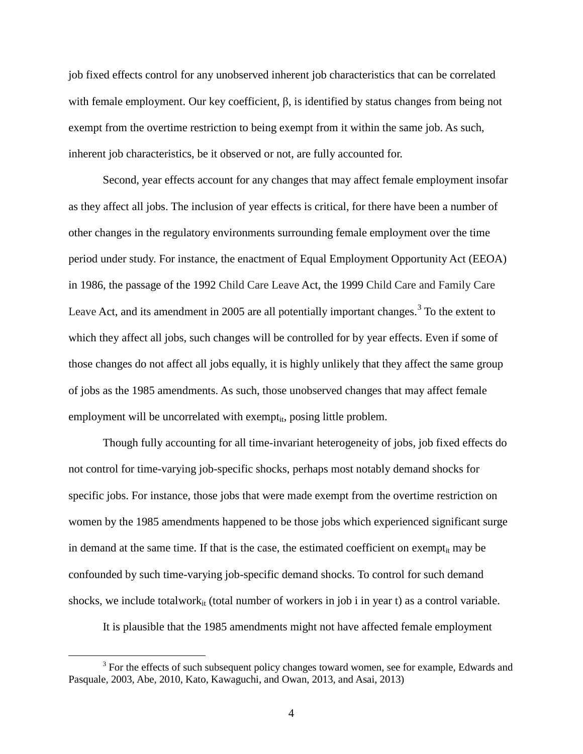job fixed effects control for any unobserved inherent job characteristics that can be correlated with female employment. Our key coefficient, β, is identified by status changes from being not exempt from the overtime restriction to being exempt from it within the same job. As such, inherent job characteristics, be it observed or not, are fully accounted for.

Second, year effects account for any changes that may affect female employment insofar as they affect all jobs. The inclusion of year effects is critical, for there have been a number of other changes in the regulatory environments surrounding female employment over the time period under study. For instance, the enactment of Equal Employment Opportunity Act (EEOA) in 1986, the passage of the 1992 Child Care Leave Act, the 1999 Child Care and Family Care Leave Act, and its amendment in 2005 are all potentially important changes.<sup>[3](#page-6-0)</sup> To the extent to which they affect all jobs, such changes will be controlled for by year effects. Even if some of those changes do not affect all jobs equally, it is highly unlikely that they affect the same group of jobs as the 1985 amendments. As such, those unobserved changes that may affect female employment will be uncorrelated with exempt<sub>it</sub>, posing little problem.

Though fully accounting for all time-invariant heterogeneity of jobs, job fixed effects do not control for time-varying job-specific shocks, perhaps most notably demand shocks for specific jobs. For instance, those jobs that were made exempt from the overtime restriction on women by the 1985 amendments happened to be those jobs which experienced significant surge in demand at the same time. If that is the case, the estimated coefficient on exempt<sub>it</sub> may be confounded by such time-varying job-specific demand shocks. To control for such demand shocks, we include totalwork $_{it}$  (total number of workers in job i in year t) as a control variable.

It is plausible that the 1985 amendments might not have affected female employment

<span id="page-6-0"></span><sup>&</sup>lt;sup>3</sup> For the effects of such subsequent policy changes toward women, see for example, Edwards and Pasquale, 2003, Abe, 2010, Kato, Kawaguchi, and Owan, 2013, and Asai, 2013)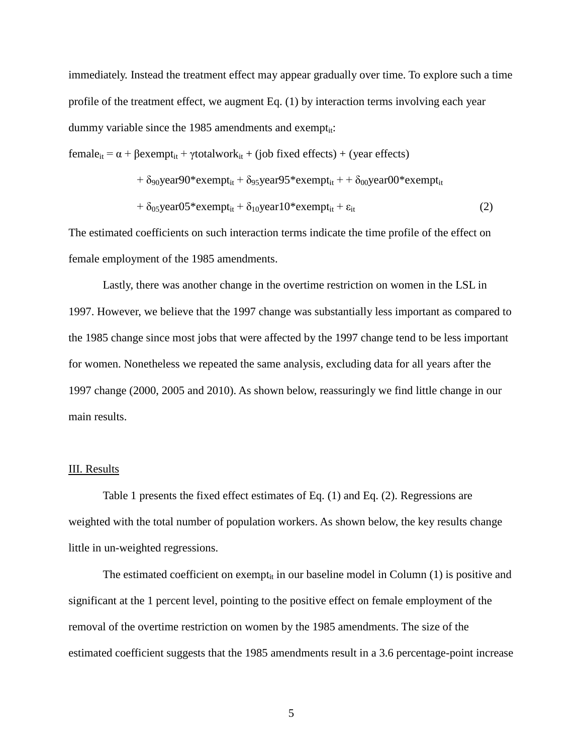immediately. Instead the treatment effect may appear gradually over time. To explore such a time profile of the treatment effect, we augment Eq. (1) by interaction terms involving each year dummy variable since the 1985 amendments and exempt<sub>it</sub>:

female<sub>it</sub> =  $\alpha$  + βexempt<sub>it</sub> + γtotalwork<sub>it</sub> + (job fixed effects) + (year effects)

$$
+\delta_{90} \text{year} 90 \text{*exempt}_{it} + \delta_{95} \text{year} 95 \text{*exempt}_{it} + \delta_{00} \text{year} 00 \text{*exempt}_{it}
$$

$$
+\delta_{05} \text{year} 05 \text{*exempt}_{it} + \delta_{10} \text{year} 10 \text{*exempt}_{it} + \varepsilon_{it}
$$
(2)

The estimated coefficients on such interaction terms indicate the time profile of the effect on female employment of the 1985 amendments.

Lastly, there was another change in the overtime restriction on women in the LSL in 1997. However, we believe that the 1997 change was substantially less important as compared to the 1985 change since most jobs that were affected by the 1997 change tend to be less important for women. Nonetheless we repeated the same analysis, excluding data for all years after the 1997 change (2000, 2005 and 2010). As shown below, reassuringly we find little change in our main results.

### III. Results

Table 1 presents the fixed effect estimates of Eq. (1) and Eq. (2). Regressions are weighted with the total number of population workers. As shown below, the key results change little in un-weighted regressions.

The estimated coefficient on exempt<sub>it</sub> in our baseline model in Column  $(1)$  is positive and significant at the 1 percent level, pointing to the positive effect on female employment of the removal of the overtime restriction on women by the 1985 amendments. The size of the estimated coefficient suggests that the 1985 amendments result in a 3.6 percentage-point increase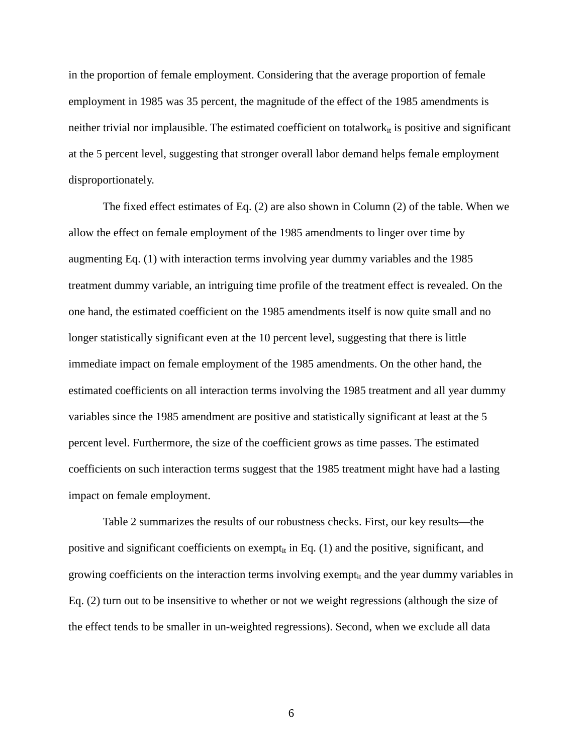in the proportion of female employment. Considering that the average proportion of female employment in 1985 was 35 percent, the magnitude of the effect of the 1985 amendments is neither trivial nor implausible. The estimated coefficient on totalwork $_{it}$  is positive and significant at the 5 percent level, suggesting that stronger overall labor demand helps female employment disproportionately.

The fixed effect estimates of Eq. (2) are also shown in Column (2) of the table. When we allow the effect on female employment of the 1985 amendments to linger over time by augmenting Eq. (1) with interaction terms involving year dummy variables and the 1985 treatment dummy variable, an intriguing time profile of the treatment effect is revealed. On the one hand, the estimated coefficient on the 1985 amendments itself is now quite small and no longer statistically significant even at the 10 percent level, suggesting that there is little immediate impact on female employment of the 1985 amendments. On the other hand, the estimated coefficients on all interaction terms involving the 1985 treatment and all year dummy variables since the 1985 amendment are positive and statistically significant at least at the 5 percent level. Furthermore, the size of the coefficient grows as time passes. The estimated coefficients on such interaction terms suggest that the 1985 treatment might have had a lasting impact on female employment.

Table 2 summarizes the results of our robustness checks. First, our key results—the positive and significant coefficients on exempt<sub>it</sub> in Eq.  $(1)$  and the positive, significant, and growing coefficients on the interaction terms involving exempt<sub>it</sub> and the year dummy variables in Eq. (2) turn out to be insensitive to whether or not we weight regressions (although the size of the effect tends to be smaller in un-weighted regressions). Second, when we exclude all data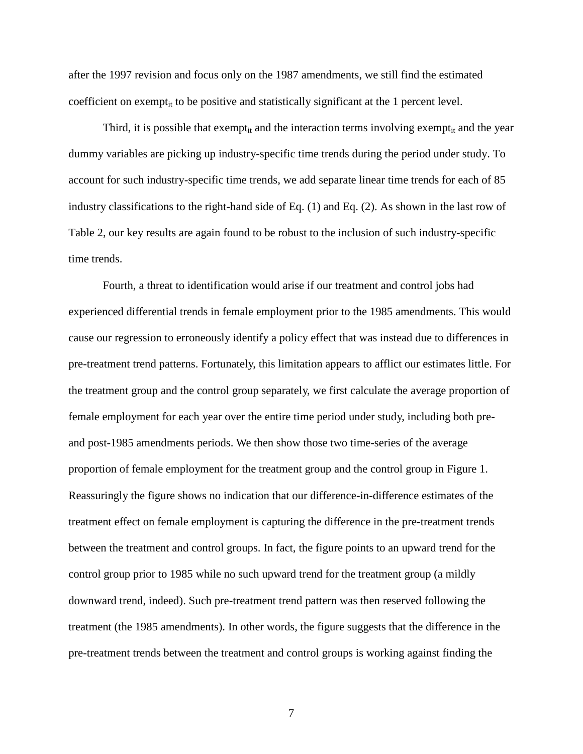after the 1997 revision and focus only on the 1987 amendments, we still find the estimated coefficient on exempt<sub>it</sub> to be positive and statistically significant at the 1 percent level.

Third, it is possible that exempt<sub>it</sub> and the interaction terms involving exempt<sub>it</sub> and the year dummy variables are picking up industry-specific time trends during the period under study. To account for such industry-specific time trends, we add separate linear time trends for each of 85 industry classifications to the right-hand side of Eq. (1) and Eq. (2). As shown in the last row of Table 2, our key results are again found to be robust to the inclusion of such industry-specific time trends.

Fourth, a threat to identification would arise if our treatment and control jobs had experienced differential trends in female employment prior to the 1985 amendments. This would cause our regression to erroneously identify a policy effect that was instead due to differences in pre-treatment trend patterns. Fortunately, this limitation appears to afflict our estimates little. For the treatment group and the control group separately, we first calculate the average proportion of female employment for each year over the entire time period under study, including both preand post-1985 amendments periods. We then show those two time-series of the average proportion of female employment for the treatment group and the control group in Figure 1. Reassuringly the figure shows no indication that our difference-in-difference estimates of the treatment effect on female employment is capturing the difference in the pre-treatment trends between the treatment and control groups. In fact, the figure points to an upward trend for the control group prior to 1985 while no such upward trend for the treatment group (a mildly downward trend, indeed). Such pre-treatment trend pattern was then reserved following the treatment (the 1985 amendments). In other words, the figure suggests that the difference in the pre-treatment trends between the treatment and control groups is working against finding the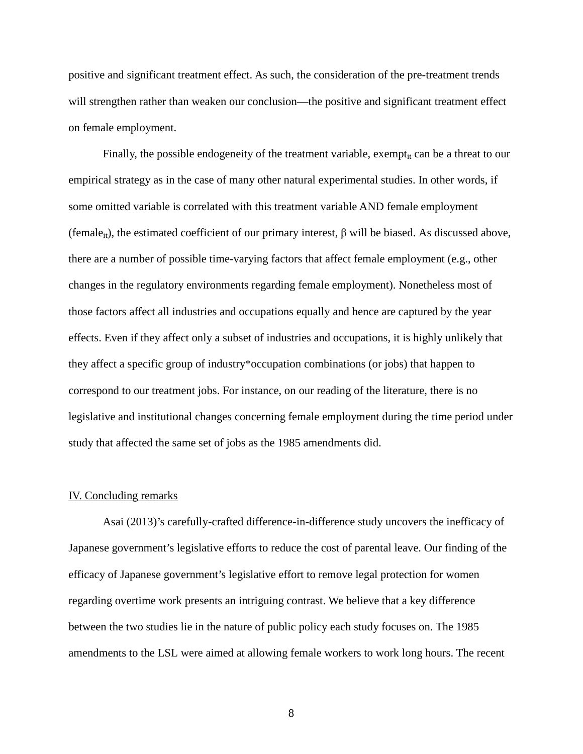positive and significant treatment effect. As such, the consideration of the pre-treatment trends will strengthen rather than weaken our conclusion—the positive and significant treatment effect on female employment.

Finally, the possible endogeneity of the treatment variable, exempt<sub>it</sub> can be a threat to our empirical strategy as in the case of many other natural experimental studies. In other words, if some omitted variable is correlated with this treatment variable AND female employment (female<sub>it</sub>), the estimated coefficient of our primary interest,  $\beta$  will be biased. As discussed above, there are a number of possible time-varying factors that affect female employment (e.g., other changes in the regulatory environments regarding female employment). Nonetheless most of those factors affect all industries and occupations equally and hence are captured by the year effects. Even if they affect only a subset of industries and occupations, it is highly unlikely that they affect a specific group of industry\*occupation combinations (or jobs) that happen to correspond to our treatment jobs. For instance, on our reading of the literature, there is no legislative and institutional changes concerning female employment during the time period under study that affected the same set of jobs as the 1985 amendments did.

#### IV. Concluding remarks

Asai (2013)'s carefully-crafted difference-in-difference study uncovers the inefficacy of Japanese government's legislative efforts to reduce the cost of parental leave. Our finding of the efficacy of Japanese government's legislative effort to remove legal protection for women regarding overtime work presents an intriguing contrast. We believe that a key difference between the two studies lie in the nature of public policy each study focuses on. The 1985 amendments to the LSL were aimed at allowing female workers to work long hours. The recent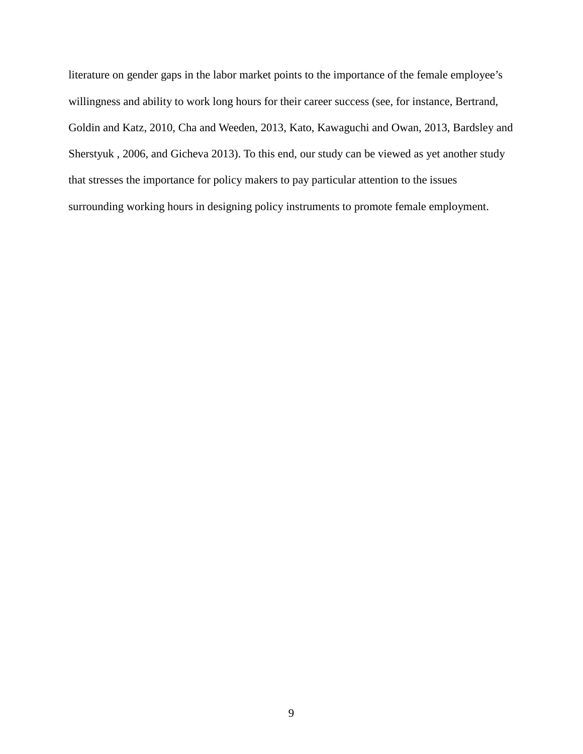literature on gender gaps in the labor market points to the importance of the female employee's willingness and ability to work long hours for their career success (see, for instance, Bertrand, Goldin and Katz, 2010, Cha and Weeden, 2013, Kato, Kawaguchi and Owan, 2013, Bardsley and Sherstyuk , 2006, and Gicheva 2013). To this end, our study can be viewed as yet another study that stresses the importance for policy makers to pay particular attention to the issues surrounding working hours in designing policy instruments to promote female employment.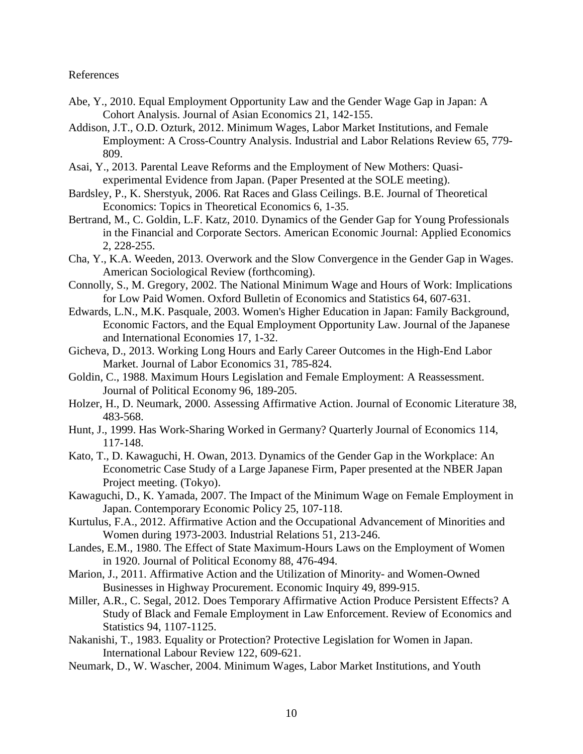#### References

- Abe, Y., 2010. Equal Employment Opportunity Law and the Gender Wage Gap in Japan: A Cohort Analysis. Journal of Asian Economics 21, 142-155.
- Addison, J.T., O.D. Ozturk, 2012. Minimum Wages, Labor Market Institutions, and Female Employment: A Cross-Country Analysis. Industrial and Labor Relations Review 65, 779- 809.
- Asai, Y., 2013. Parental Leave Reforms and the Employment of New Mothers: Quasiexperimental Evidence from Japan. (Paper Presented at the SOLE meeting).
- Bardsley, P., K. Sherstyuk, 2006. Rat Races and Glass Ceilings. B.E. Journal of Theoretical Economics: Topics in Theoretical Economics 6, 1-35.
- Bertrand, M., C. Goldin, L.F. Katz, 2010. Dynamics of the Gender Gap for Young Professionals in the Financial and Corporate Sectors. American Economic Journal: Applied Economics 2, 228-255.
- Cha, Y., K.A. Weeden, 2013. Overwork and the Slow Convergence in the Gender Gap in Wages. American Sociological Review (forthcoming).
- Connolly, S., M. Gregory, 2002. The National Minimum Wage and Hours of Work: Implications for Low Paid Women. Oxford Bulletin of Economics and Statistics 64, 607-631.
- Edwards, L.N., M.K. Pasquale, 2003. Women's Higher Education in Japan: Family Background, Economic Factors, and the Equal Employment Opportunity Law. Journal of the Japanese and International Economies 17, 1-32.
- Gicheva, D., 2013. Working Long Hours and Early Career Outcomes in the High-End Labor Market. Journal of Labor Economics 31, 785-824.
- Goldin, C., 1988. Maximum Hours Legislation and Female Employment: A Reassessment. Journal of Political Economy 96, 189-205.
- Holzer, H., D. Neumark, 2000. Assessing Affirmative Action. Journal of Economic Literature 38, 483-568.
- Hunt, J., 1999. Has Work-Sharing Worked in Germany? Quarterly Journal of Economics 114, 117-148.
- Kato, T., D. Kawaguchi, H. Owan, 2013. Dynamics of the Gender Gap in the Workplace: An Econometric Case Study of a Large Japanese Firm, Paper presented at the NBER Japan Project meeting. (Tokyo).
- Kawaguchi, D., K. Yamada, 2007. The Impact of the Minimum Wage on Female Employment in Japan. Contemporary Economic Policy 25, 107-118.
- Kurtulus, F.A., 2012. Affirmative Action and the Occupational Advancement of Minorities and Women during 1973-2003. Industrial Relations 51, 213-246.
- Landes, E.M., 1980. The Effect of State Maximum-Hours Laws on the Employment of Women in 1920. Journal of Political Economy 88, 476-494.
- Marion, J., 2011. Affirmative Action and the Utilization of Minority- and Women-Owned Businesses in Highway Procurement. Economic Inquiry 49, 899-915.
- Miller, A.R., C. Segal, 2012. Does Temporary Affirmative Action Produce Persistent Effects? A Study of Black and Female Employment in Law Enforcement. Review of Economics and Statistics 94, 1107-1125.
- Nakanishi, T., 1983. Equality or Protection? Protective Legislation for Women in Japan. International Labour Review 122, 609-621.
- Neumark, D., W. Wascher, 2004. Minimum Wages, Labor Market Institutions, and Youth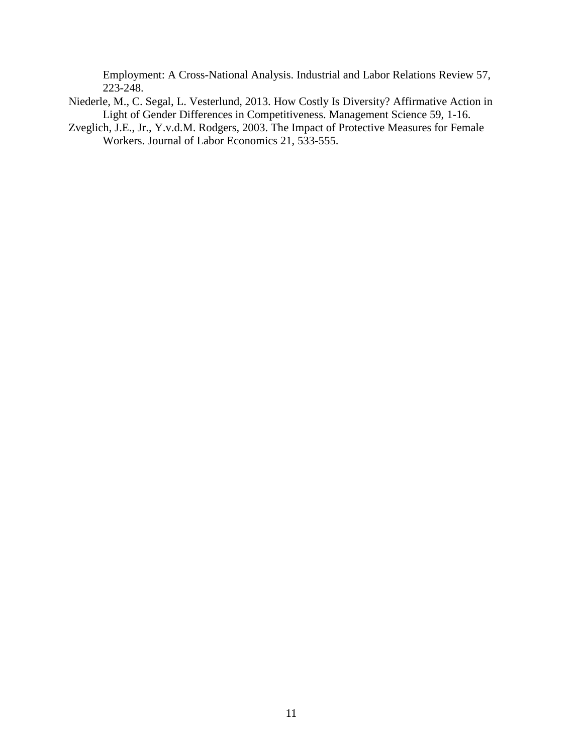Employment: A Cross-National Analysis. Industrial and Labor Relations Review 57, 223-248.

- Niederle, M., C. Segal, L. Vesterlund, 2013. How Costly Is Diversity? Affirmative Action in Light of Gender Differences in Competitiveness. Management Science 59, 1-16.
- Zveglich, J.E., Jr., Y.v.d.M. Rodgers, 2003. The Impact of Protective Measures for Female Workers. Journal of Labor Economics 21, 533-555.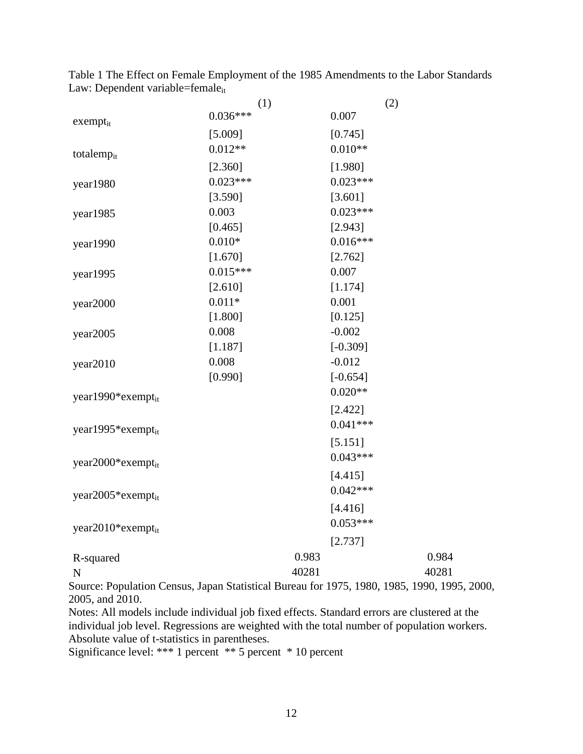|                               | (1)        |       | (2)        |       |
|-------------------------------|------------|-------|------------|-------|
| $exempt_{it}$                 | $0.036***$ |       | 0.007      |       |
|                               | [5.009]    |       | [0.745]    |       |
| totalemp <sub>it</sub>        | $0.012**$  |       | $0.010**$  |       |
|                               | [2.360]    |       | [1.980]    |       |
| year1980                      | $0.023***$ |       | $0.023***$ |       |
|                               | [3.590]    |       | [3.601]    |       |
| year1985                      | 0.003      |       | $0.023***$ |       |
|                               | [0.465]    |       | [2.943]    |       |
| year1990                      | $0.010*$   |       | $0.016***$ |       |
|                               | [1.670]    |       | [2.762]    |       |
| year1995                      | $0.015***$ |       | 0.007      |       |
|                               | [2.610]    |       | [1.174]    |       |
| year2000                      | $0.011*$   |       | 0.001      |       |
|                               | [1.800]    |       | [0.125]    |       |
| year2005                      | 0.008      |       | $-0.002$   |       |
|                               | [1.187]    |       | $[-0.309]$ |       |
| year2010                      | 0.008      |       | $-0.012$   |       |
|                               | [0.990]    |       | $[-0.654]$ |       |
| year1990*exemptit             |            |       | $0.020**$  |       |
|                               |            |       | [2.422]    |       |
| year1995*exempt <sub>it</sub> |            |       | $0.041***$ |       |
|                               |            |       | [5.151]    |       |
| year2000*exempt <sub>it</sub> |            |       | $0.043***$ |       |
|                               |            |       | [4.415]    |       |
| year2005*exempt <sub>it</sub> |            |       | $0.042***$ |       |
|                               |            |       | [4.416]    |       |
| year2010*exemptit             |            |       | $0.053***$ |       |
|                               |            |       | [2.737]    |       |
| R-squared                     |            | 0.983 |            | 0.984 |
| ${\bf N}$                     |            | 40281 |            | 40281 |
|                               |            |       |            |       |

Table 1 The Effect on Female Employment of the 1985 Amendments to the Labor Standards Law: Dependent variable=female<sub>it</sub>

Source: Population Census, Japan Statistical Bureau for 1975, 1980, 1985, 1990, 1995, 2000, 2005, and 2010.

Notes: All models include individual job fixed effects. Standard errors are clustered at the individual job level. Regressions are weighted with the total number of population workers. Absolute value of t-statistics in parentheses.

Significance level: \*\*\* 1 percent \*\* 5 percent \* 10 percent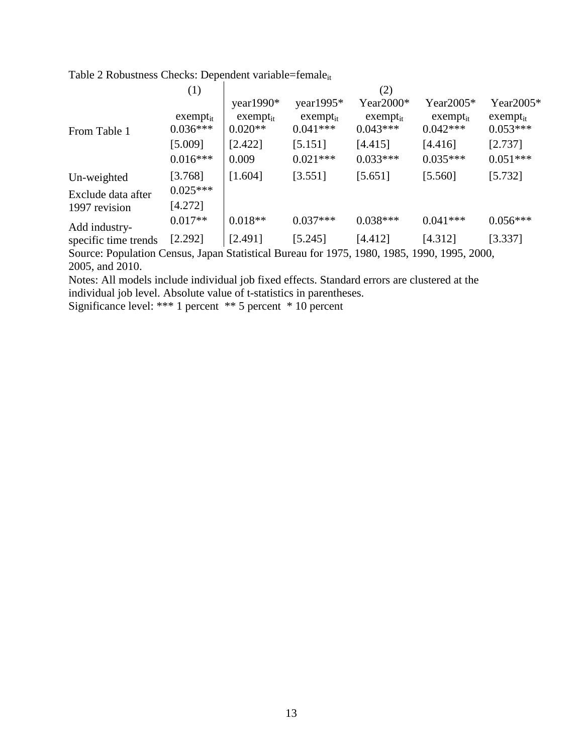Table 2 Robustness Checks: Dependent variable=female<sub>it</sub>

|                                                                                                                                                                  | (1)                              | (2)                                        |                                             |                                          |                                             |                                             |  |
|------------------------------------------------------------------------------------------------------------------------------------------------------------------|----------------------------------|--------------------------------------------|---------------------------------------------|------------------------------------------|---------------------------------------------|---------------------------------------------|--|
| From Table 1                                                                                                                                                     | $exempt_{it}$<br>$0.036***$      | year1990 $*$<br>$exempt_{it}$<br>$0.020**$ | year1995 $*$<br>$exempt_{it}$<br>$0.041***$ | Year2000*<br>$exempt_{it}$<br>$0.043***$ | Year $2005*$<br>$exempt_{it}$<br>$0.042***$ | Year2005 $*$<br>$exempt_{it}$<br>$0.053***$ |  |
|                                                                                                                                                                  | [5.009]<br>$0.016***$            | [2.422]<br>0.009                           | [5.151]<br>$0.021***$                       | [4.415]<br>$0.033***$                    | [4.416]<br>$0.035***$                       | [2.737]<br>$0.051***$                       |  |
| Un-weighted<br>Exclude data after<br>1997 revision                                                                                                               | [3.768]<br>$0.025***$<br>[4.272] | [1.604]                                    | [3.551]                                     | [5.651]                                  | [5.560]                                     | [5.732]                                     |  |
| Add industry-<br>specific time trends<br>$S_{\text{out201}}$ Depulstion Canaus, Langu Statistical Dynasy for $1075$ , $1000$ , $1005$ , $1000$ , $1005$ , $2000$ | $0.017**$<br>[2.292]             | $0.018**$<br>[2.491]                       | $0.037***$<br>[5.245]                       | $0.038***$<br>[4.412]                    | $0.041***$<br>[4.312]                       | $0.056***$<br>[3.337]                       |  |

Source: Population Census, Japan Statistical Bureau for 1975, 1980, 1985, 1990, 1995, 2000, 2005, and 2010.

Notes: All models include individual job fixed effects. Standard errors are clustered at the individual job level. Absolute value of t-statistics in parentheses.

Significance level: \*\*\* 1 percent \*\* 5 percent \* 10 percent